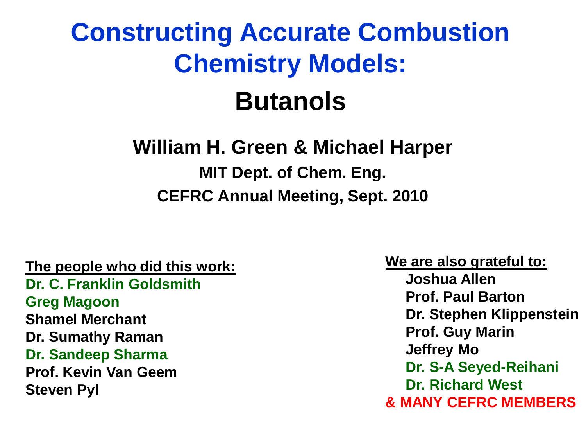### **Constructing Accurate Combustion Chemistry Models: Butanols**

#### **William H. Green & Michael Harper MIT Dept. of Chem. Eng.**

**CEFRC Annual Meeting, Sept. 2010**

#### **The people who did this work:**

**Dr. C. Franklin Goldsmith Greg Magoon Shamel Merchant Dr. Sumathy Raman Dr. Sandeep Sharma Prof. Kevin Van Geem Steven Pyl**

**We are also grateful to: Joshua Allen Prof. Paul Barton Dr. Stephen Klippenstein Prof. Guy Marin Jeffrey Mo Dr. S-A Seyed-Reihani Dr. Richard West & MANY CEFRC MEMBERS**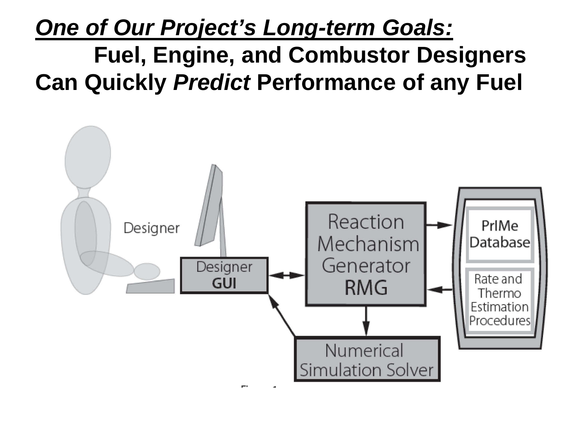#### *One of Our Project's Long-term Goals:* **Fuel, Engine, and Combustor Designers Can Quickly** *Predict* **Performance of any Fuel**

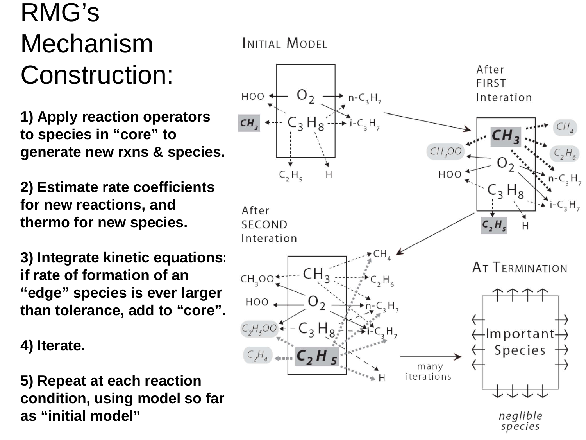#### RMG's Mechanism Construction:

**1) Apply reaction operators to species in "core" to generate new rxns & species.**

**2) Estimate rate coefficients for new reactions, and thermo for new species.**

**3) Integrate kinetic equations: if rate of formation of an "edge" species is ever larger than tolerance, add to "core".**

**4) Iterate.**

**5) Repeat at each reaction condition, using model so far as "initial model"**

INITIAL MODEL

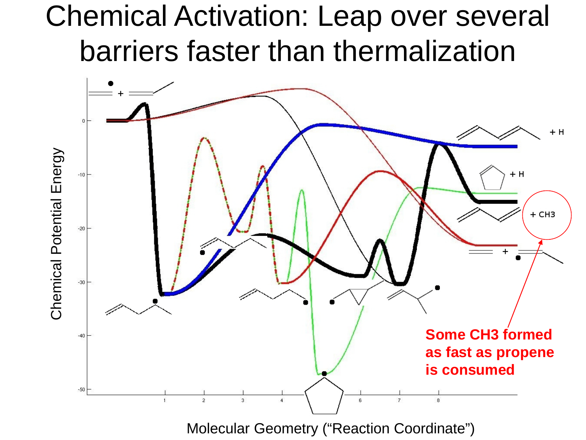### Chemical Activation: Leap over several barriers faster than thermalization

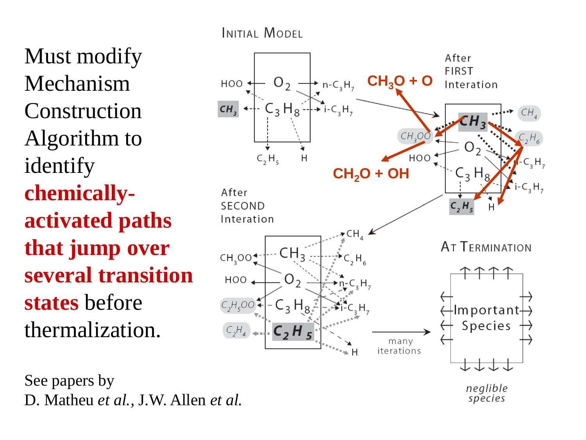Must modify Mechanism Construction Algorithm to identify **chemicallyactivated paths that jump over several transition states** before thermalization.

See papers by D. Matheu *et al.,* J.W. Allen *et al.*

INITIAL MODEL



species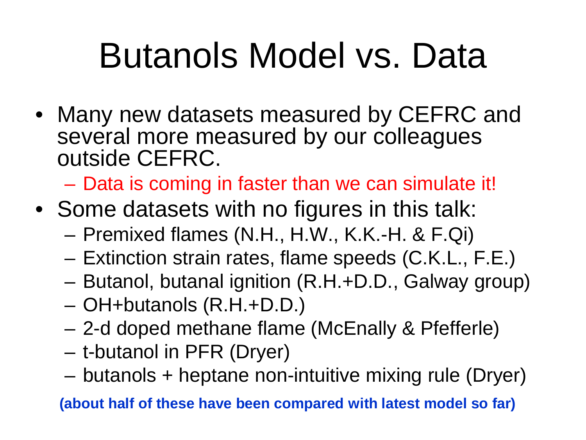# Butanols Model vs. Data

• Many new datasets measured by CEFRC and several more measured by our colleagues outside CEFRC.

– Data is coming in faster than we can simulate it!

- Some datasets with no figures in this talk:
	- Premixed flames (N.H., H.W., K.K.-H. & F.Qi)
	- Extinction strain rates, flame speeds (C.K.L., F.E.)
	- Butanol, butanal ignition (R.H.+D.D., Galway group)
	- OH+butanols (R.H.+D.D.)
	- 2-d doped methane flame (McEnally & Pfefferle)
	- t-butanol in PFR (Dryer)
	- butanols + heptane non-intuitive mixing rule (Dryer)

**(about half of these have been compared with latest model so far)**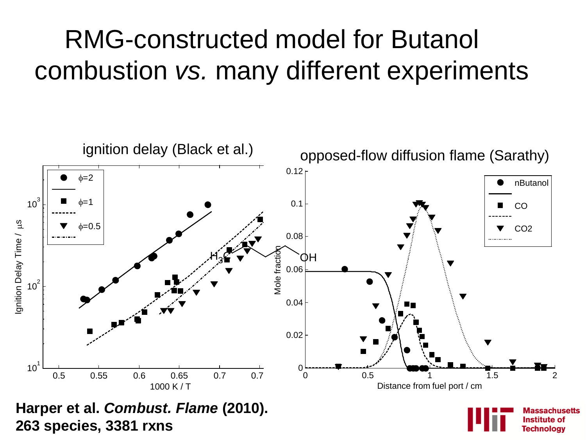#### RMG-constructed model for Butanol combustion *vs.* many different experiments

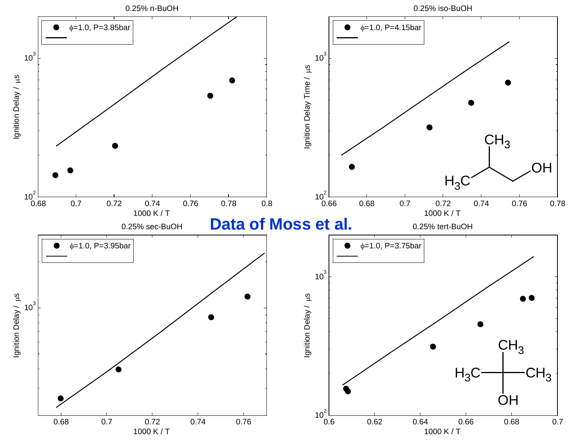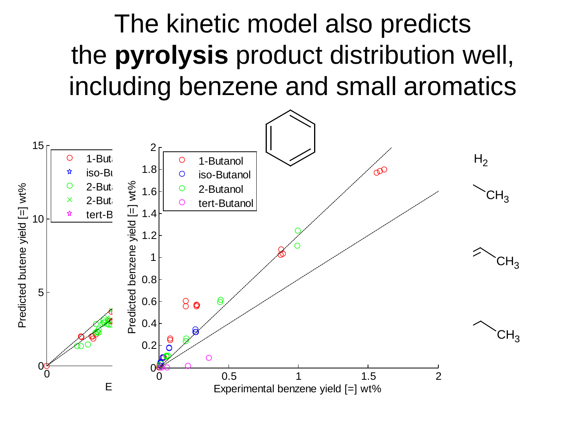#### The kinetic model also predicts the **pyrolysis** product distribution well, including benzene and small aromatics

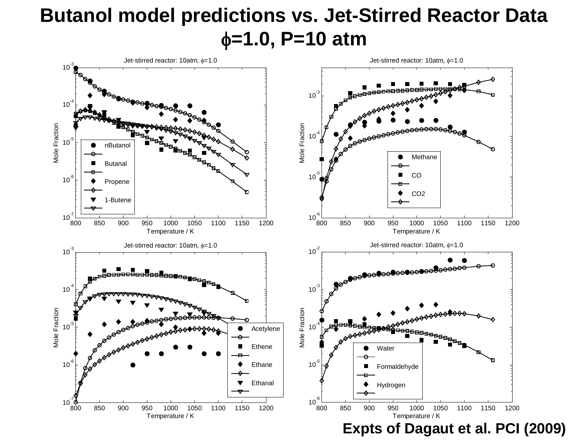#### **Butanol model predictions vs. Jet-Stirred Reactor Data** φ**=1.0, P=10 atm**

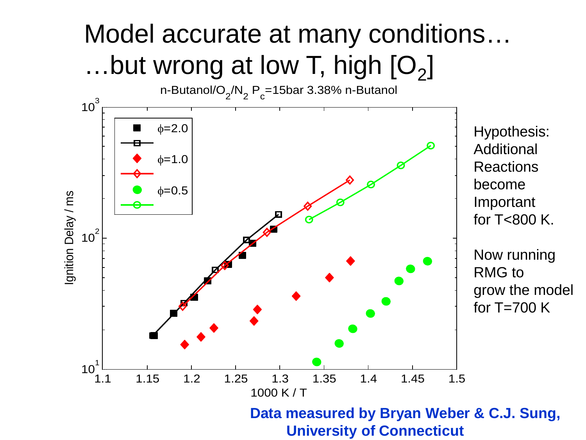### Model accurate at many conditions… ...but wrong at low T, high  $[O_2]$

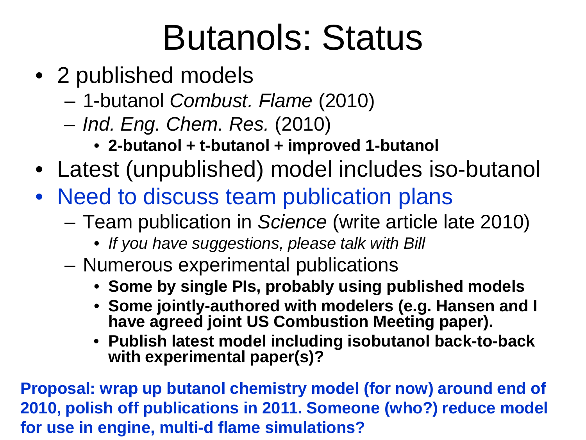## Butanols: Status

- 2 published models
	- 1-butanol *Combust. Flame* (2010)
	- *Ind. Eng. Chem. Res.* (2010)
		- **2-butanol + t-butanol + improved 1-butanol**
- Latest (unpublished) model includes iso-butanol
- Need to discuss team publication plans
	- Team publication in *Science* (write article late 2010)
		- *If you have suggestions, please talk with Bill*
	- Numerous experimental publications
		- **Some by single PIs, probably using published models**
		- **Some jointly-authored with modelers (e.g. Hansen and I have agreed joint US Combustion Meeting paper).**
		- **Publish latest model including isobutanol back-to-back with experimental paper(s)?**

**Proposal: wrap up butanol chemistry model (for now) around end of 2010, polish off publications in 2011. Someone (who?) reduce model for use in engine, multi-d flame simulations?**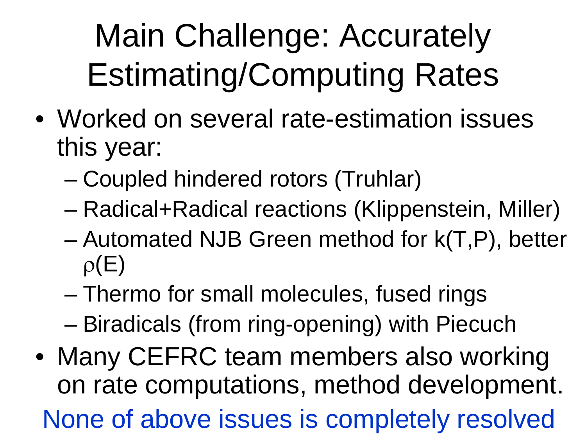### Main Challenge: Accurately Estimating/Computing Rates

- Worked on several rate-estimation issues this year:
	- Coupled hindered rotors (Truhlar)
	- Radical+Radical reactions (Klippenstein, Miller)
	- Automated NJB Green method for k(T,P), better  $\rho(E)$
	- Thermo for small molecules, fused rings – Biradicals (from ring-opening) with Piecuch
- Many CEFRC team members also working on rate computations, method development. None of above issues is completely resolved